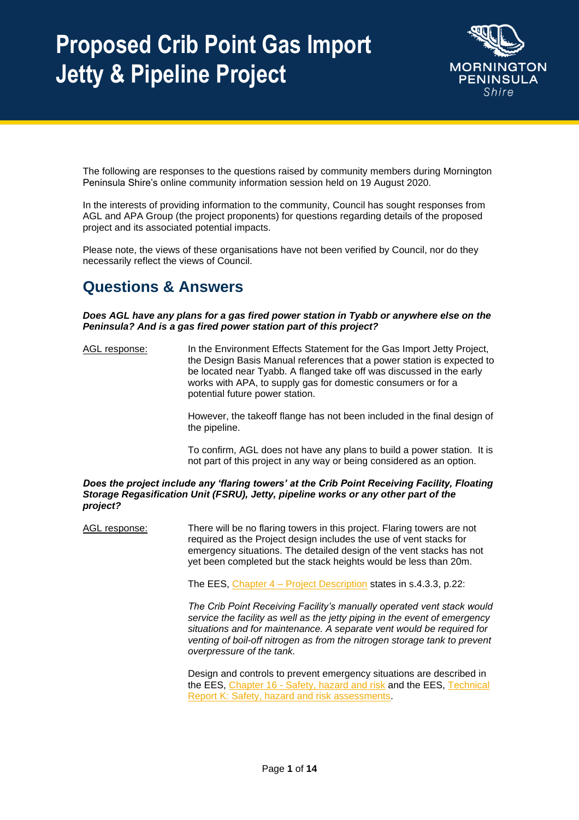

The following are responses to the questions raised by community members during Mornington Peninsula Shire's online community information session held on 19 August 2020.

In the interests of providing information to the community, Council has sought responses from AGL and APA Group (the project proponents) for questions regarding details of the proposed project and its associated potential impacts.

Please note, the views of these organisations have not been verified by Council, nor do they necessarily reflect the views of Council.

### **Questions & Answers**

*Does AGL have any plans for a gas fired power station in Tyabb or anywhere else on the Peninsula? And is a gas fired power station part of this project?* 

AGL response: In the Environment Effects Statement for the Gas Import Jetty Project, the Design Basis Manual references that a power station is expected to be located near Tyabb. A flanged take off was discussed in the early works with APA, to supply gas for domestic consumers or for a potential future power station.

> However, the takeoff flange has not been included in the final design of the pipeline.

> To confirm, AGL does not have any plans to build a power station. It is not part of this project in any way or being considered as an option.

*Does the project include any 'flaring towers' at the Crib Point Receiving Facility, Floating Storage Regasification Unit (FSRU), Jetty, pipeline works or any other part of the project?*

AGL response: There will be no flaring towers in this project. Flaring towers are not required as the Project design includes the use of vent stacks for emergency situations. The detailed design of the vent stacks has not yet been completed but the stack heights would be less than 20m.

The EES, Chapter 4 – [Project Description](https://gasimportprojectvictoria.com.au/sites/default/files/2020-07/GIJPP%20EES%20Chapter%204%20Project%20description.pdf) states in s.4.3.3, p.22:

*The Crib Point Receiving Facility's manually operated vent stack would service the facility as well as the jetty piping in the event of emergency situations and for maintenance. A separate vent would be required for venting of boil-off nitrogen as from the nitrogen storage tank to prevent overpressure of the tank.*

Design and controls to prevent emergency situations are described in the EES, Chapter 16 - [Safety, hazard and risk](https://gasimportprojectvictoria.com.au/sites/default/files/2020-07/GIJPP%20EES%20Chapter%2016%20Safety%2C%20hazard%20and%20risk.pdf) and the EES, Technical [Report K: Safety, hazard and risk assessments.](https://gasimportprojectvictoria.com.au/sites/default/files/2020-07/GIJPP%20EES%20Technical%20Report%20K%20Safety%2C%20hazard%20and%20risk%20assessments_2.pdf)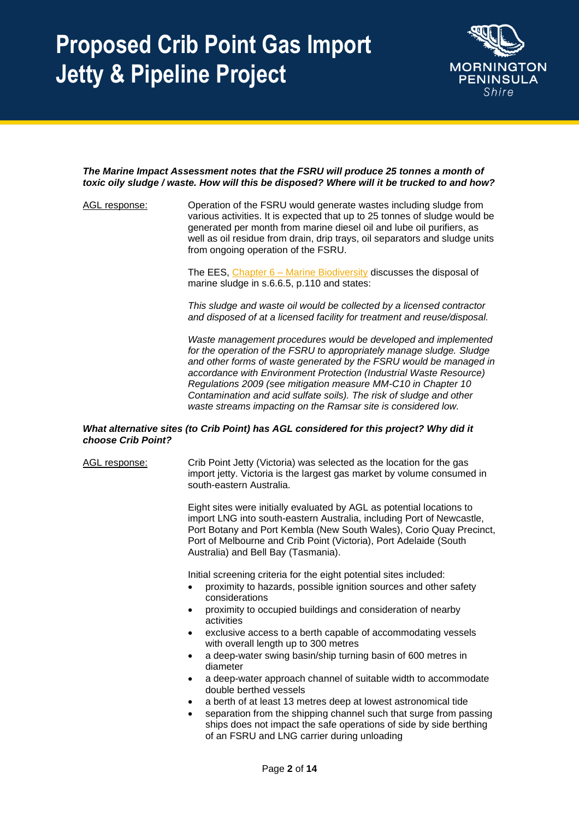

#### *The Marine Impact Assessment notes that the FSRU will produce 25 tonnes a month of toxic oily sludge / waste. How will this be disposed? Where will it be trucked to and how?*

AGL response: Operation of the FSRU would generate wastes including sludge from various activities. It is expected that up to 25 tonnes of sludge would be generated per month from marine diesel oil and lube oil purifiers, as well as oil residue from drain, drip trays, oil separators and sludge units from ongoing operation of the FSRU.

> The EES, Chapter 6 – [Marine Biodiversity](https://gasimportprojectvictoria.com.au/sites/default/files/2020-07/GIJPP%20EES%20Chapter%206%20Marine%20biodiversity.pdf) discusses the disposal of marine sludge in s.6.6.5, p.110 and states:

*This sludge and waste oil would be collected by a licensed contractor and disposed of at a licensed facility for treatment and reuse/disposal.*

*Waste management procedures would be developed and implemented for the operation of the FSRU to appropriately manage sludge. Sludge and other forms of waste generated by the FSRU would be managed in accordance with Environment Protection (Industrial Waste Resource) Regulations 2009 (see mitigation measure MM-C10 in Chapter 10 Contamination and acid sulfate soils). The risk of sludge and other waste streams impacting on the Ramsar site is considered low.*

#### *What alternative sites (to Crib Point) has AGL considered for this project? Why did it choose Crib Point?*

AGL response: Crib Point Jetty (Victoria) was selected as the location for the gas import jetty. Victoria is the largest gas market by volume consumed in south-eastern Australia.

> Eight sites were initially evaluated by AGL as potential locations to import LNG into south-eastern Australia, including Port of Newcastle, Port Botany and Port Kembla (New South Wales), Corio Quay Precinct, Port of Melbourne and Crib Point (Victoria), Port Adelaide (South Australia) and Bell Bay (Tasmania).

Initial screening criteria for the eight potential sites included:

- proximity to hazards, possible ignition sources and other safety considerations
- proximity to occupied buildings and consideration of nearby activities
- exclusive access to a berth capable of accommodating vessels with overall length up to 300 metres
- a deep-water swing basin/ship turning basin of 600 metres in diameter
- a deep-water approach channel of suitable width to accommodate double berthed vessels
- a berth of at least 13 metres deep at lowest astronomical tide
- separation from the shipping channel such that surge from passing ships does not impact the safe operations of side by side berthing of an FSRU and LNG carrier during unloading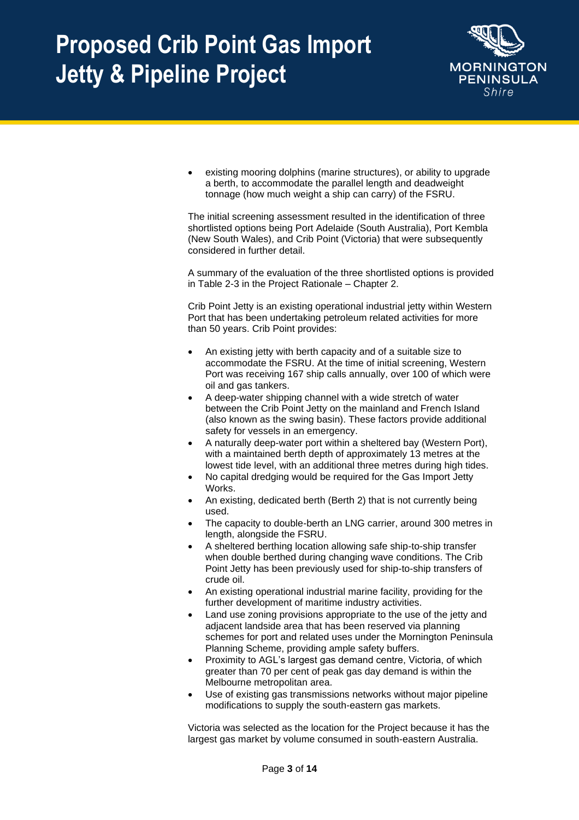

existing mooring dolphins (marine structures), or ability to upgrade a berth, to accommodate the parallel length and deadweight tonnage (how much weight a ship can carry) of the FSRU.

The initial screening assessment resulted in the identification of three shortlisted options being Port Adelaide (South Australia), Port Kembla (New South Wales), and Crib Point (Victoria) that were subsequently considered in further detail.

A summary of the evaluation of the three shortlisted options is provided in Table 2-3 in the Project Rationale – Chapter 2.

Crib Point Jetty is an existing operational industrial jetty within Western Port that has been undertaking petroleum related activities for more than 50 years. Crib Point provides:

- An existing jetty with berth capacity and of a suitable size to accommodate the FSRU. At the time of initial screening, Western Port was receiving 167 ship calls annually, over 100 of which were oil and gas tankers.
- A deep-water shipping channel with a wide stretch of water between the Crib Point Jetty on the mainland and French Island (also known as the swing basin). These factors provide additional safety for vessels in an emergency.
- A naturally deep-water port within a sheltered bay (Western Port), with a maintained berth depth of approximately 13 metres at the lowest tide level, with an additional three metres during high tides.
- No capital dredging would be required for the Gas Import Jetty Works.
- An existing, dedicated berth (Berth 2) that is not currently being used.
- The capacity to double-berth an LNG carrier, around 300 metres in length, alongside the FSRU.
- A sheltered berthing location allowing safe ship-to-ship transfer when double berthed during changing wave conditions. The Crib Point Jetty has been previously used for ship-to-ship transfers of crude oil.
- An existing operational industrial marine facility, providing for the further development of maritime industry activities.
- Land use zoning provisions appropriate to the use of the jetty and adjacent landside area that has been reserved via planning schemes for port and related uses under the Mornington Peninsula Planning Scheme, providing ample safety buffers.
- Proximity to AGL's largest gas demand centre, Victoria, of which greater than 70 per cent of peak gas day demand is within the Melbourne metropolitan area.
- Use of existing gas transmissions networks without major pipeline modifications to supply the south-eastern gas markets.

Victoria was selected as the location for the Project because it has the largest gas market by volume consumed in south-eastern Australia.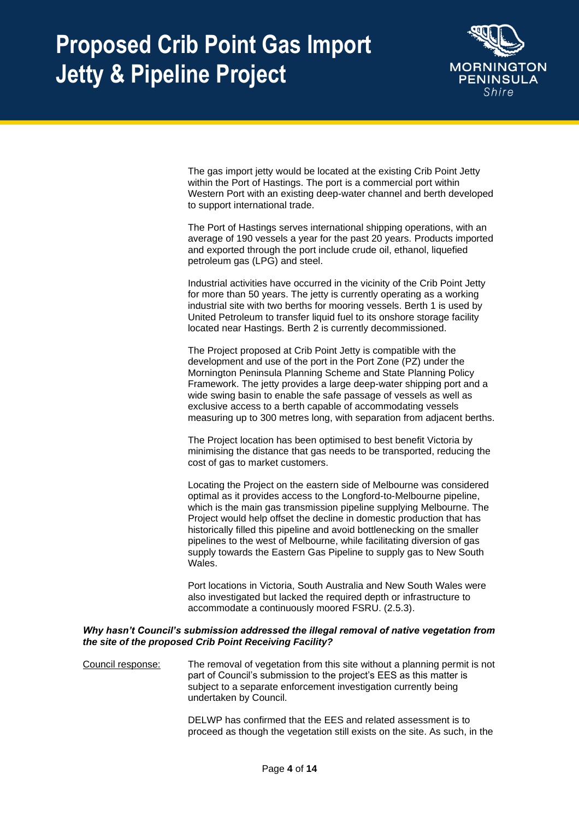

The gas import jetty would be located at the existing Crib Point Jetty within the Port of Hastings. The port is a commercial port within Western Port with an existing deep-water channel and berth developed to support international trade.

The Port of Hastings serves international shipping operations, with an average of 190 vessels a year for the past 20 years. Products imported and exported through the port include crude oil, ethanol, liquefied petroleum gas (LPG) and steel.

Industrial activities have occurred in the vicinity of the Crib Point Jetty for more than 50 years. The jetty is currently operating as a working industrial site with two berths for mooring vessels. Berth 1 is used by United Petroleum to transfer liquid fuel to its onshore storage facility located near Hastings. Berth 2 is currently decommissioned.

The Project proposed at Crib Point Jetty is compatible with the development and use of the port in the Port Zone (PZ) under the Mornington Peninsula Planning Scheme and State Planning Policy Framework. The jetty provides a large deep-water shipping port and a wide swing basin to enable the safe passage of vessels as well as exclusive access to a berth capable of accommodating vessels measuring up to 300 metres long, with separation from adjacent berths.

The Project location has been optimised to best benefit Victoria by minimising the distance that gas needs to be transported, reducing the cost of gas to market customers.

Locating the Project on the eastern side of Melbourne was considered optimal as it provides access to the Longford-to-Melbourne pipeline, which is the main gas transmission pipeline supplying Melbourne. The Project would help offset the decline in domestic production that has historically filled this pipeline and avoid bottlenecking on the smaller pipelines to the west of Melbourne, while facilitating diversion of gas supply towards the Eastern Gas Pipeline to supply gas to New South Wales.

Port locations in Victoria, South Australia and New South Wales were also investigated but lacked the required depth or infrastructure to accommodate a continuously moored FSRU. (2.5.3).

### *Why hasn't Council's submission addressed the illegal removal of native vegetation from the site of the proposed Crib Point Receiving Facility?*

Council response: The removal of vegetation from this site without a planning permit is not part of Council's submission to the project's EES as this matter is subject to a separate enforcement investigation currently being undertaken by Council.

> DELWP has confirmed that the EES and related assessment is to proceed as though the vegetation still exists on the site. As such, in the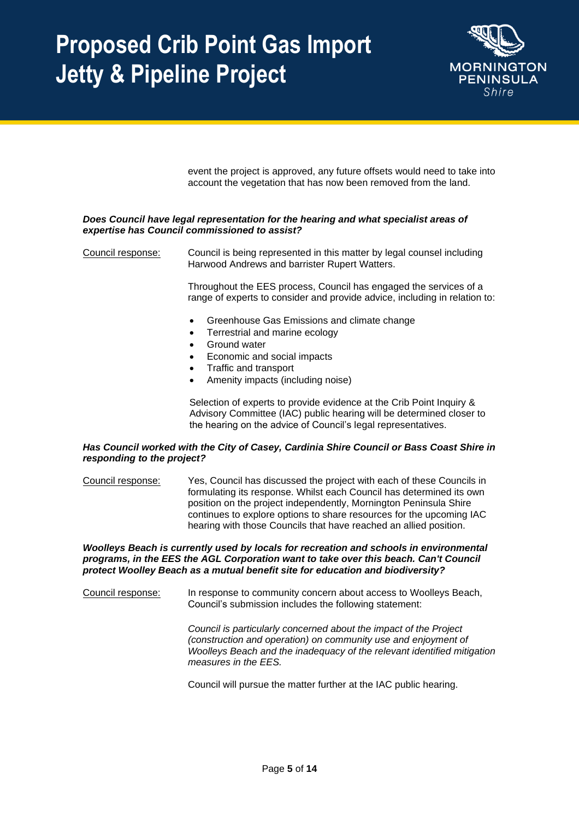

event the project is approved, any future offsets would need to take into account the vegetation that has now been removed from the land.

### *Does Council have legal representation for the hearing and what specialist areas of expertise has Council commissioned to assist?*

Council response: Council is being represented in this matter by legal counsel including Harwood Andrews and barrister Rupert Watters.

> Throughout the EES process, Council has engaged the services of a range of experts to consider and provide advice, including in relation to:

- Greenhouse Gas Emissions and climate change
- Terrestrial and marine ecology
- Ground water
- Economic and social impacts
- Traffic and transport
- Amenity impacts (including noise)

Selection of experts to provide evidence at the Crib Point Inquiry & Advisory Committee (IAC) public hearing will be determined closer to the hearing on the advice of Council's legal representatives.

#### *Has Council worked with the City of Casey, Cardinia Shire Council or Bass Coast Shire in responding to the project?*

Council response: Yes, Council has discussed the project with each of these Councils in formulating its response. Whilst each Council has determined its own position on the project independently, Mornington Peninsula Shire continues to explore options to share resources for the upcoming IAC hearing with those Councils that have reached an allied position.

*Woolleys Beach is currently used by locals for recreation and schools in environmental programs, in the EES the AGL Corporation want to take over this beach. Can't Council protect Woolley Beach as a mutual benefit site for education and biodiversity?*

Council response: In response to community concern about access to Woolleys Beach, Council's submission includes the following statement:

> *Council is particularly concerned about the impact of the Project (construction and operation) on community use and enjoyment of Woolleys Beach and the inadequacy of the relevant identified mitigation measures in the EES.*

Council will pursue the matter further at the IAC public hearing.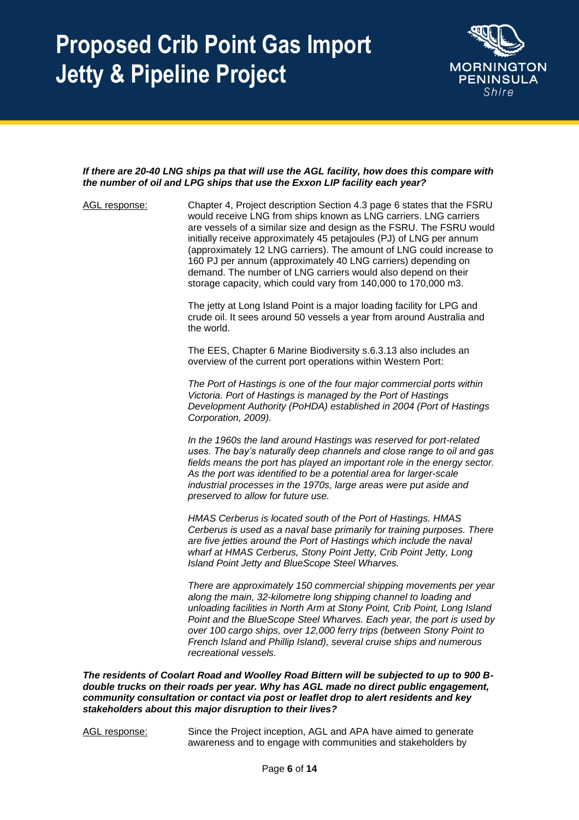

### *If there are 20-40 LNG ships pa that will use the AGL facility, how does this compare with the number of oil and LPG ships that use the Exxon LIP facility each year?*

AGL response: Chapter 4, Project description Section 4.3 page 6 states that the FSRU would receive LNG from ships known as LNG carriers. LNG carriers are vessels of a similar size and design as the FSRU. The FSRU would initially receive approximately 45 petajoules (PJ) of LNG per annum (approximately 12 LNG carriers). The amount of LNG could increase to 160 PJ per annum (approximately 40 LNG carriers) depending on demand. The number of LNG carriers would also depend on their storage capacity, which could vary from 140,000 to 170,000 m3.

The jetty at Long Island Point is a major loading facility for LPG and crude oil. It sees around 50 vessels a year from around Australia and the world.

The EES, Chapter 6 Marine Biodiversity s.6.3.13 also includes an overview of the current port operations within Western Port:

*The Port of Hastings is one of the four major commercial ports within Victoria. Port of Hastings is managed by the Port of Hastings Development Authority (PoHDA) established in 2004 (Port of Hastings Corporation, 2009).* 

*In the 1960s the land around Hastings was reserved for port-related uses. The bay's naturally deep channels and close range to oil and gas fields means the port has played an important role in the energy sector. As the port was identified to be a potential area for larger-scale industrial processes in the 1970s, large areas were put aside and preserved to allow for future use.* 

*HMAS Cerberus is located south of the Port of Hastings. HMAS Cerberus is used as a naval base primarily for training purposes. There are five jetties around the Port of Hastings which include the naval wharf at HMAS Cerberus, Stony Point Jetty, Crib Point Jetty, Long Island Point Jetty and BlueScope Steel Wharves.* 

*There are approximately 150 commercial shipping movements per year along the main, 32-kilometre long shipping channel to loading and unloading facilities in North Arm at Stony Point, Crib Point, Long Island Point and the BlueScope Steel Wharves. Each year, the port is used by over 100 cargo ships, over 12,000 ferry trips (between Stony Point to French Island and Phillip Island), several cruise ships and numerous recreational vessels.*

*The residents of Coolart Road and Woolley Road Bittern will be subjected to up to 900 Bdouble trucks on their roads per year. Why has AGL made no direct public engagement, community consultation or contact via post or leaflet drop to alert residents and key stakeholders about this major disruption to their lives?* 

AGL response: Since the Project inception, AGL and APA have aimed to generate awareness and to engage with communities and stakeholders by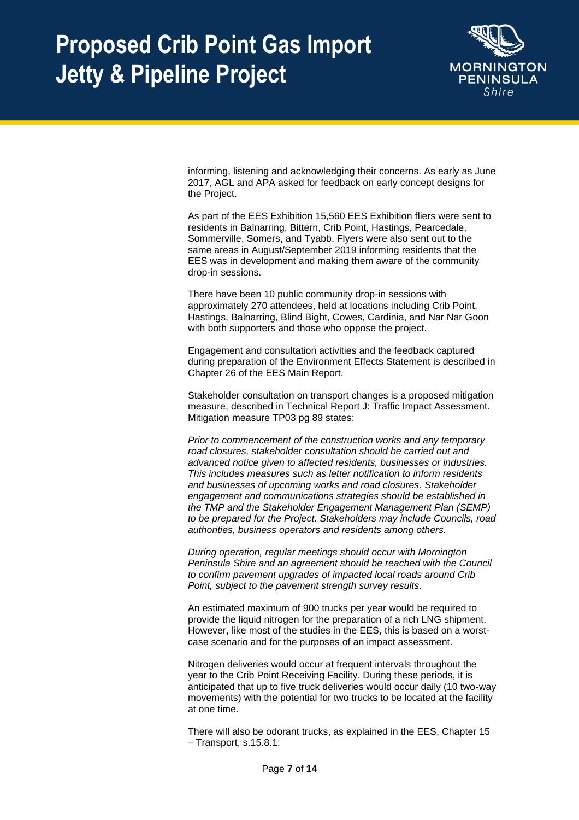

informing, listening and acknowledging their concerns. As early as June 2017, AGL and APA asked for feedback on early concept designs for the Project.

As part of the EES Exhibition 15,560 EES Exhibition fliers were sent to residents in Balnarring, Bittern, Crib Point, Hastings, Pearcedale, Sommerville, Somers, and Tyabb. Flyers were also sent out to the same areas in August/September 2019 informing residents that the EES was in development and making them aware of the community drop-in sessions.

There have been 10 public community drop-in sessions with approximately 270 attendees, held at locations including Crib Point, Hastings, Balnarring, Blind Bight, Cowes, Cardinia, and Nar Nar Goon with both supporters and those who oppose the project.

Engagement and consultation activities and the feedback captured during preparation of the Environment Effects Statement is described in Chapter 26 of the EES Main Report.

Stakeholder consultation on transport changes is a proposed mitigation measure, described in Technical Report J: Traffic Impact Assessment. Mitigation measure TP03 pg 89 states:

*Prior to commencement of the construction works and any temporary road closures, stakeholder consultation should be carried out and advanced notice given to affected residents, businesses or industries. This includes measures such as letter notification to inform residents and businesses of upcoming works and road closures. Stakeholder engagement and communications strategies should be established in the TMP and the Stakeholder Engagement Management Plan (SEMP) to be prepared for the Project. Stakeholders may include Councils, road authorities, business operators and residents among others.* 

*During operation, regular meetings should occur with Mornington Peninsula Shire and an agreement should be reached with the Council to confirm pavement upgrades of impacted local roads around Crib Point, subject to the pavement strength survey results.* 

An estimated maximum of 900 trucks per year would be required to provide the liquid nitrogen for the preparation of a rich LNG shipment. However, like most of the studies in the EES, this is based on a worstcase scenario and for the purposes of an impact assessment.

Nitrogen deliveries would occur at frequent intervals throughout the year to the Crib Point Receiving Facility. During these periods, it is anticipated that up to five truck deliveries would occur daily (10 two-way movements) with the potential for two trucks to be located at the facility at one time.

There will also be odorant trucks, as explained in the EES, Chapter 15 – Transport, s.15.8.1: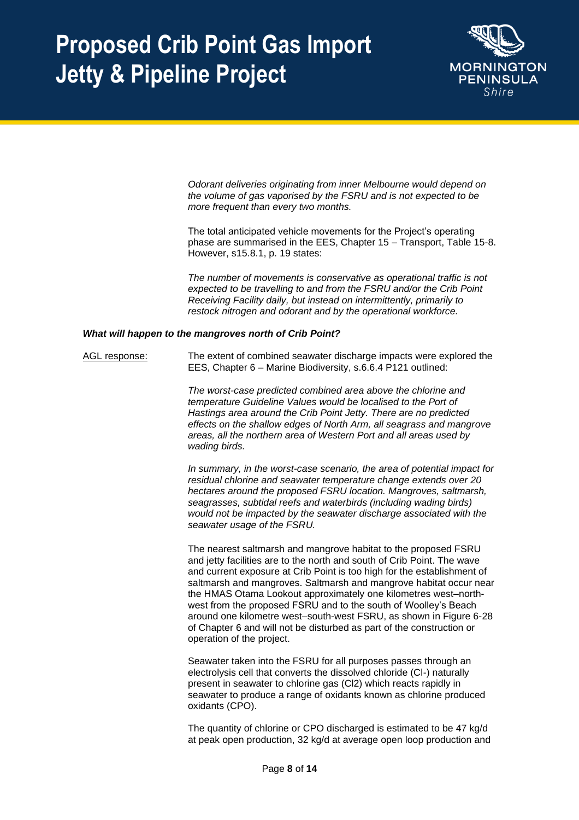

*Odorant deliveries originating from inner Melbourne would depend on the volume of gas vaporised by the FSRU and is not expected to be more frequent than every two months.* 

The total anticipated vehicle movements for the Project's operating phase are summarised in the EES, Chapter 15 – Transport, Table 15-8. However, s15.8.1, p. 19 states:

*The number of movements is conservative as operational traffic is not expected to be travelling to and from the FSRU and/or the Crib Point Receiving Facility daily, but instead on intermittently, primarily to restock nitrogen and odorant and by the operational workforce.*

#### *What will happen to the mangroves north of Crib Point?*

AGL response: The extent of combined seawater discharge impacts were explored the EES, Chapter 6 – Marine Biodiversity, s.6.6.4 P121 outlined:

> *The worst-case predicted combined area above the chlorine and temperature Guideline Values would be localised to the Port of Hastings area around the Crib Point Jetty. There are no predicted effects on the shallow edges of North Arm, all seagrass and mangrove areas, all the northern area of Western Port and all areas used by wading birds.*

*In summary, in the worst-case scenario, the area of potential impact for residual chlorine and seawater temperature change extends over 20 hectares around the proposed FSRU location. Mangroves, saltmarsh, seagrasses, subtidal reefs and waterbirds (including wading birds) would not be impacted by the seawater discharge associated with the seawater usage of the FSRU.* 

The nearest saltmarsh and mangrove habitat to the proposed FSRU and jetty facilities are to the north and south of Crib Point. The wave and current exposure at Crib Point is too high for the establishment of saltmarsh and mangroves. Saltmarsh and mangrove habitat occur near the HMAS Otama Lookout approximately one kilometres west–northwest from the proposed FSRU and to the south of Woolley's Beach around one kilometre west–south-west FSRU, as shown in Figure 6-28 of Chapter 6 and will not be disturbed as part of the construction or operation of the project.

Seawater taken into the FSRU for all purposes passes through an electrolysis cell that converts the dissolved chloride (Cl-) naturally present in seawater to chlorine gas (Cl2) which reacts rapidly in seawater to produce a range of oxidants known as chlorine produced oxidants (CPO).

The quantity of chlorine or CPO discharged is estimated to be 47 kg/d at peak open production, 32 kg/d at average open loop production and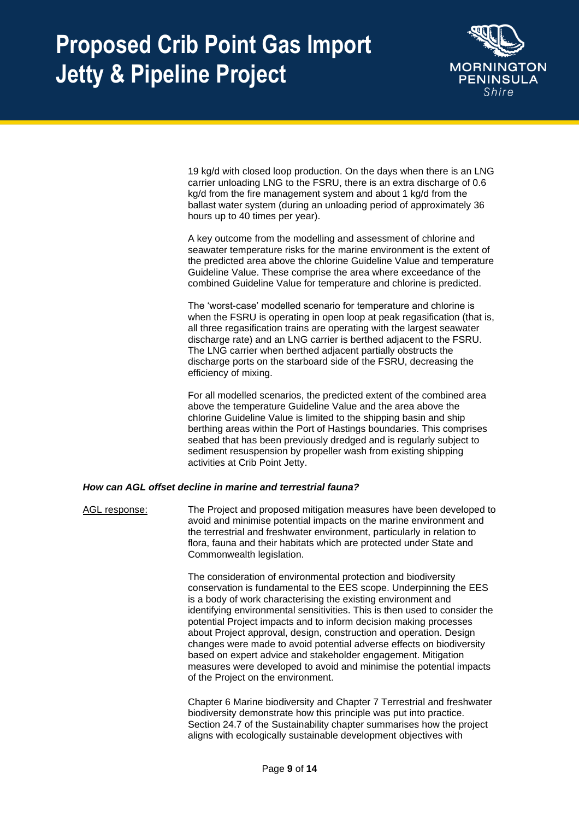

19 kg/d with closed loop production. On the days when there is an LNG carrier unloading LNG to the FSRU, there is an extra discharge of 0.6 kg/d from the fire management system and about 1 kg/d from the ballast water system (during an unloading period of approximately 36 hours up to 40 times per year).

A key outcome from the modelling and assessment of chlorine and seawater temperature risks for the marine environment is the extent of the predicted area above the chlorine Guideline Value and temperature Guideline Value. These comprise the area where exceedance of the combined Guideline Value for temperature and chlorine is predicted.

The 'worst-case' modelled scenario for temperature and chlorine is when the FSRU is operating in open loop at peak regasification (that is, all three regasification trains are operating with the largest seawater discharge rate) and an LNG carrier is berthed adjacent to the FSRU. The LNG carrier when berthed adjacent partially obstructs the discharge ports on the starboard side of the FSRU, decreasing the efficiency of mixing.

For all modelled scenarios, the predicted extent of the combined area above the temperature Guideline Value and the area above the chlorine Guideline Value is limited to the shipping basin and ship berthing areas within the Port of Hastings boundaries. This comprises seabed that has been previously dredged and is regularly subject to sediment resuspension by propeller wash from existing shipping activities at Crib Point Jetty.

### *How can AGL offset decline in marine and terrestrial fauna?*

AGL response: The Project and proposed mitigation measures have been developed to avoid and minimise potential impacts on the marine environment and the terrestrial and freshwater environment, particularly in relation to flora, fauna and their habitats which are protected under State and Commonwealth legislation.

> The consideration of environmental protection and biodiversity conservation is fundamental to the EES scope. Underpinning the EES is a body of work characterising the existing environment and identifying environmental sensitivities. This is then used to consider the potential Project impacts and to inform decision making processes about Project approval, design, construction and operation. Design changes were made to avoid potential adverse effects on biodiversity based on expert advice and stakeholder engagement. Mitigation measures were developed to avoid and minimise the potential impacts of the Project on the environment.

> Chapter 6 Marine biodiversity and Chapter 7 Terrestrial and freshwater biodiversity demonstrate how this principle was put into practice. Section 24.7 of the Sustainability chapter summarises how the project aligns with ecologically sustainable development objectives with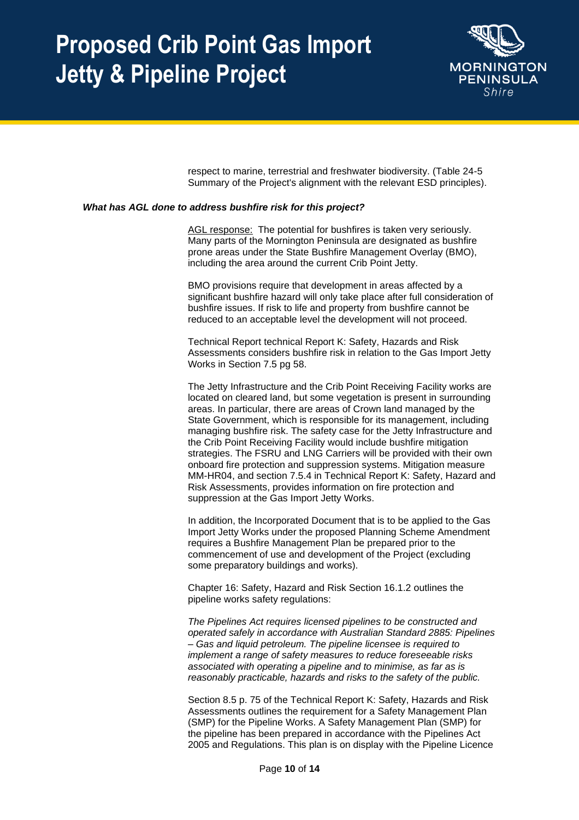

respect to marine, terrestrial and freshwater biodiversity. (Table 24-5 Summary of the Project's alignment with the relevant ESD principles).

#### *What has AGL done to address bushfire risk for this project?*

AGL response: The potential for bushfires is taken very seriously. Many parts of the Mornington Peninsula are designated as bushfire prone areas under the State Bushfire Management Overlay (BMO), including the area around the current Crib Point Jetty.

BMO provisions require that development in areas affected by a significant bushfire hazard will only take place after full consideration of bushfire issues. If risk to life and property from bushfire cannot be reduced to an acceptable level the development will not proceed.

Technical Report technical Report K: Safety, Hazards and Risk Assessments considers bushfire risk in relation to the Gas Import Jetty Works in Section 7.5 pg 58.

The Jetty Infrastructure and the Crib Point Receiving Facility works are located on cleared land, but some vegetation is present in surrounding areas. In particular, there are areas of Crown land managed by the State Government, which is responsible for its management, including managing bushfire risk. The safety case for the Jetty Infrastructure and the Crib Point Receiving Facility would include bushfire mitigation strategies. The FSRU and LNG Carriers will be provided with their own onboard fire protection and suppression systems. Mitigation measure MM-HR04, and section 7.5.4 in Technical Report K: Safety, Hazard and Risk Assessments, provides information on fire protection and suppression at the Gas Import Jetty Works.

In addition, the Incorporated Document that is to be applied to the Gas Import Jetty Works under the proposed Planning Scheme Amendment requires a Bushfire Management Plan be prepared prior to the commencement of use and development of the Project (excluding some preparatory buildings and works).

Chapter 16: Safety, Hazard and Risk Section 16.1.2 outlines the pipeline works safety regulations:

*The Pipelines Act requires licensed pipelines to be constructed and operated safely in accordance with Australian Standard 2885: Pipelines – Gas and liquid petroleum. The pipeline licensee is required to implement a range of safety measures to reduce foreseeable risks associated with operating a pipeline and to minimise, as far as is reasonably practicable, hazards and risks to the safety of the public.* 

Section 8.5 p. 75 of the Technical Report K: Safety, Hazards and Risk Assessments outlines the requirement for a Safety Management Plan (SMP) for the Pipeline Works. A Safety Management Plan (SMP) for the pipeline has been prepared in accordance with the Pipelines Act 2005 and Regulations. This plan is on display with the Pipeline Licence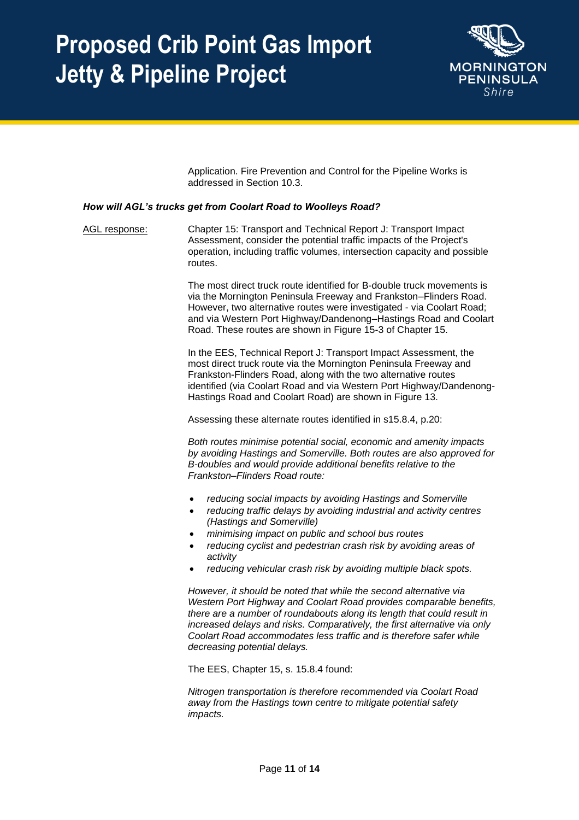

Application. Fire Prevention and Control for the Pipeline Works is addressed in Section 10.3.

### *How will AGL's trucks get from Coolart Road to Woolleys Road?*

AGL response: Chapter 15: Transport and Technical Report J: Transport Impact Assessment, consider the potential traffic impacts of the Project's operation, including traffic volumes, intersection capacity and possible routes.

> The most direct truck route identified for B-double truck movements is via the Mornington Peninsula Freeway and Frankston–Flinders Road. However, two alternative routes were investigated - via Coolart Road; and via Western Port Highway/Dandenong–Hastings Road and Coolart Road. These routes are shown in Figure 15-3 of Chapter 15.

> In the EES, Technical Report J: Transport Impact Assessment, the most direct truck route via the Mornington Peninsula Freeway and Frankston-Flinders Road, along with the two alternative routes identified (via Coolart Road and via Western Port Highway/Dandenong-Hastings Road and Coolart Road) are shown in Figure 13.

Assessing these alternate routes identified in s15.8.4, p.20:

*Both routes minimise potential social, economic and amenity impacts by avoiding Hastings and Somerville. Both routes are also approved for B-doubles and would provide additional benefits relative to the Frankston–Flinders Road route:* 

- *reducing social impacts by avoiding Hastings and Somerville*
- *reducing traffic delays by avoiding industrial and activity centres (Hastings and Somerville)*
- *minimising impact on public and school bus routes*
- *reducing cyclist and pedestrian crash risk by avoiding areas of activity*
- *reducing vehicular crash risk by avoiding multiple black spots.*

*However, it should be noted that while the second alternative via Western Port Highway and Coolart Road provides comparable benefits, there are a number of roundabouts along its length that could result in increased delays and risks. Comparatively, the first alternative via only Coolart Road accommodates less traffic and is therefore safer while decreasing potential delays.* 

The EES, Chapter 15, s. 15.8.4 found:

*Nitrogen transportation is therefore recommended via Coolart Road away from the Hastings town centre to mitigate potential safety impacts.*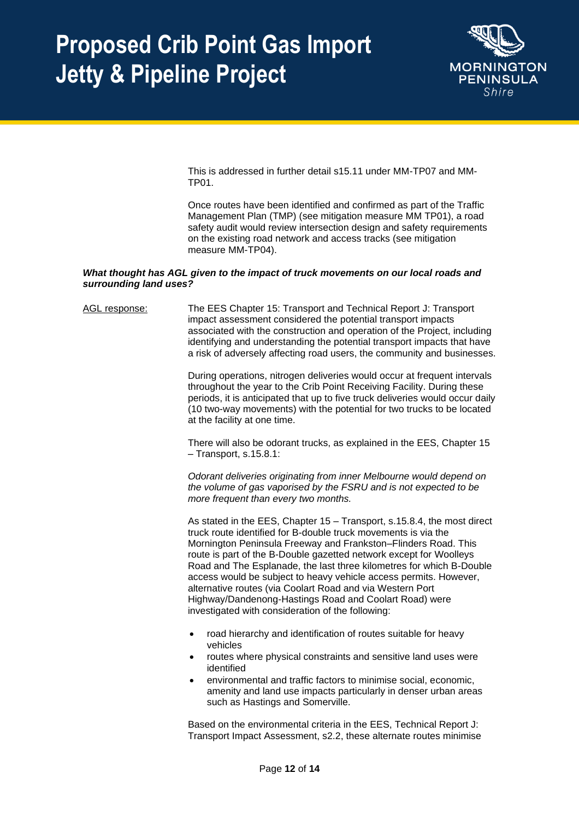

This is addressed in further detail s15.11 under MM-TP07 and MM-TP01.

Once routes have been identified and confirmed as part of the Traffic Management Plan (TMP) (see mitigation measure MM TP01), a road safety audit would review intersection design and safety requirements on the existing road network and access tracks (see mitigation measure MM-TP04).

### *What thought has AGL given to the impact of truck movements on our local roads and surrounding land uses?*

AGL response: The EES Chapter 15: Transport and Technical Report J: Transport impact assessment considered the potential transport impacts associated with the construction and operation of the Project, including identifying and understanding the potential transport impacts that have a risk of adversely affecting road users, the community and businesses. During operations, nitrogen deliveries would occur at frequent intervals throughout the year to the Crib Point Receiving Facility. During these periods, it is anticipated that up to five truck deliveries would occur daily (10 two-way movements) with the potential for two trucks to be located at the facility at one time. There will also be odorant trucks, as explained in the EES, Chapter 15 – Transport, s.15.8.1: *Odorant deliveries originating from inner Melbourne would depend on the volume of gas vaporised by the FSRU and is not expected to be more frequent than every two months.*  As stated in the EES, Chapter 15 – Transport, s.15.8.4, the most direct truck route identified for B-double truck movements is via the Mornington Peninsula Freeway and Frankston–Flinders Road. This route is part of the B-Double gazetted network except for Woolleys Road and The Esplanade, the last three kilometres for which B-Double access would be subject to heavy vehicle access permits. However, alternative routes (via Coolart Road and via Western Port Highway/Dandenong-Hastings Road and Coolart Road) were investigated with consideration of the following: • road hierarchy and identification of routes suitable for heavy vehicles • routes where physical constraints and sensitive land uses were identified • environmental and traffic factors to minimise social, economic, amenity and land use impacts particularly in denser urban areas such as Hastings and Somerville. Based on the environmental criteria in the EES, Technical Report J: Transport Impact Assessment, s2.2, these alternate routes minimise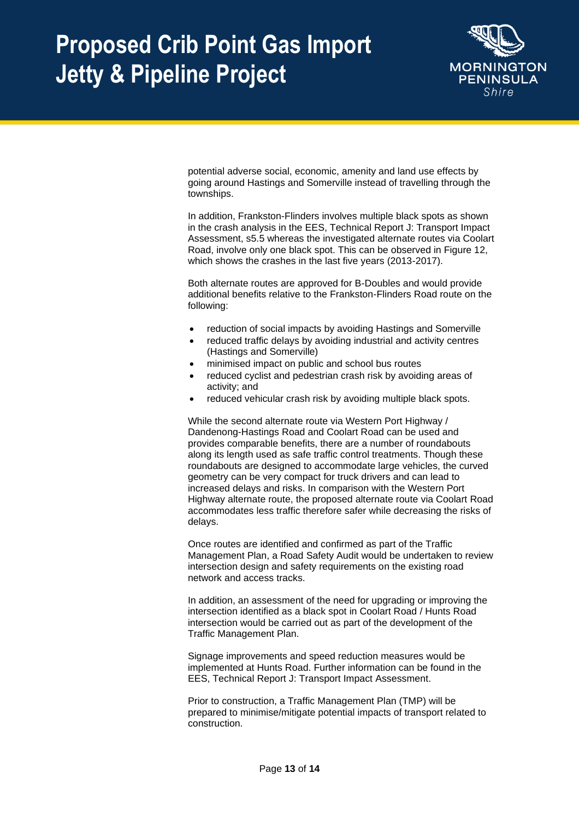

potential adverse social, economic, amenity and land use effects by going around Hastings and Somerville instead of travelling through the townships.

In addition, Frankston-Flinders involves multiple black spots as shown in the crash analysis in the EES, Technical Report J: Transport Impact Assessment, s5.5 whereas the investigated alternate routes via Coolart Road, involve only one black spot. This can be observed in Figure 12, which shows the crashes in the last five years (2013-2017).

Both alternate routes are approved for B-Doubles and would provide additional benefits relative to the Frankston-Flinders Road route on the following:

- reduction of social impacts by avoiding Hastings and Somerville
- reduced traffic delays by avoiding industrial and activity centres (Hastings and Somerville)
- minimised impact on public and school bus routes
- reduced cyclist and pedestrian crash risk by avoiding areas of activity; and
- reduced vehicular crash risk by avoiding multiple black spots.

While the second alternate route via Western Port Highway / Dandenong-Hastings Road and Coolart Road can be used and provides comparable benefits, there are a number of roundabouts along its length used as safe traffic control treatments. Though these roundabouts are designed to accommodate large vehicles, the curved geometry can be very compact for truck drivers and can lead to increased delays and risks. In comparison with the Western Port Highway alternate route, the proposed alternate route via Coolart Road accommodates less traffic therefore safer while decreasing the risks of delays.

Once routes are identified and confirmed as part of the Traffic Management Plan, a Road Safety Audit would be undertaken to review intersection design and safety requirements on the existing road network and access tracks.

In addition, an assessment of the need for upgrading or improving the intersection identified as a black spot in Coolart Road / Hunts Road intersection would be carried out as part of the development of the Traffic Management Plan.

Signage improvements and speed reduction measures would be implemented at Hunts Road. Further information can be found in the EES, Technical Report J: Transport Impact Assessment.

Prior to construction, a Traffic Management Plan (TMP) will be prepared to minimise/mitigate potential impacts of transport related to construction.